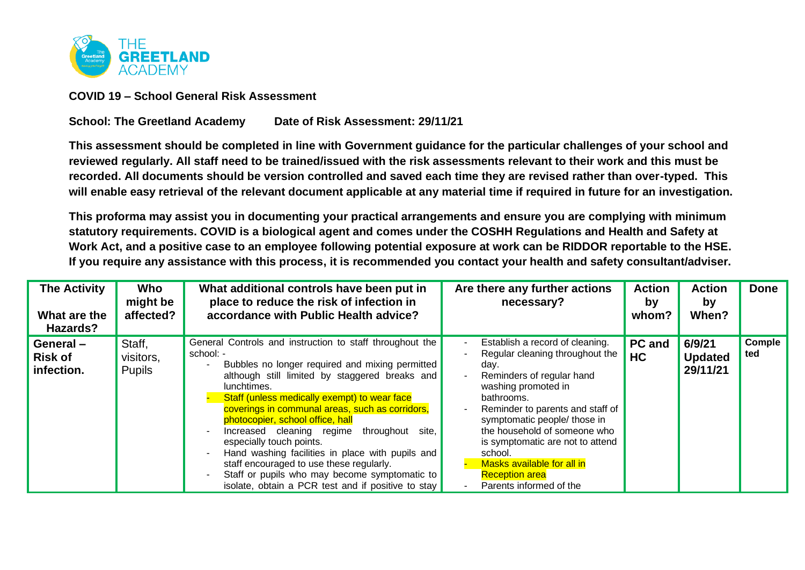

**COVID 19 – School General Risk Assessment** 

## **School: The Greetland Academy Date of Risk Assessment: 29/11/21**

**This assessment should be completed in line with Government guidance for the particular challenges of your school and reviewed regularly. All staff need to be trained/issued with the risk assessments relevant to their work and this must be recorded. All documents should be version controlled and saved each time they are revised rather than over-typed. This will enable easy retrieval of the relevant document applicable at any material time if required in future for an investigation.**

**This proforma may assist you in documenting your practical arrangements and ensure you are complying with minimum statutory requirements. COVID is a biological agent and comes under the COSHH Regulations and Health and Safety at Work Act, and a positive case to an employee following potential exposure at work can be RIDDOR reportable to the HSE. If you require any assistance with this process, it is recommended you contact your health and safety consultant/adviser.**

| <b>The Activity</b><br>What are the<br>Hazards? | Who<br>might be<br>affected?         | What additional controls have been put in<br>place to reduce the risk of infection in<br>accordance with Public Health advice?                                                                                                                                                                                                                                                                                                                                                                                                                                                                                          | Are there any further actions<br>necessary?                                                                                                                                                                                                                                                                                                                                       | <b>Action</b><br>by<br>whom? | <b>Action</b><br>by<br>When?         | <b>Done</b>          |
|-------------------------------------------------|--------------------------------------|-------------------------------------------------------------------------------------------------------------------------------------------------------------------------------------------------------------------------------------------------------------------------------------------------------------------------------------------------------------------------------------------------------------------------------------------------------------------------------------------------------------------------------------------------------------------------------------------------------------------------|-----------------------------------------------------------------------------------------------------------------------------------------------------------------------------------------------------------------------------------------------------------------------------------------------------------------------------------------------------------------------------------|------------------------------|--------------------------------------|----------------------|
| General-<br><b>Risk of</b><br>infection.        | Staff,<br>visitors,<br><b>Pupils</b> | General Controls and instruction to staff throughout the<br>school: -<br>Bubbles no longer required and mixing permitted<br>although still limited by staggered breaks and<br>lunchtimes.<br>Staff (unless medically exempt) to wear face<br>coverings in communal areas, such as corridors,<br>photocopier, school office, hall<br>throughout<br>Increased cleaning regime<br>site,<br>especially touch points.<br>Hand washing facilities in place with pupils and<br>staff encouraged to use these regularly.<br>Staff or pupils who may become symptomatic to<br>isolate, obtain a PCR test and if positive to stay | Establish a record of cleaning.<br>Regular cleaning throughout the<br>day.<br>Reminders of regular hand<br>washing promoted in<br>bathrooms.<br>Reminder to parents and staff of<br>symptomatic people/ those in<br>the household of someone who<br>is symptomatic are not to attend<br>school.<br>Masks available for all in<br><b>Reception area</b><br>Parents informed of the | <b>PC</b> and<br><b>HC</b>   | 6/9/21<br><b>Updated</b><br>29/11/21 | <b>Comple</b><br>ted |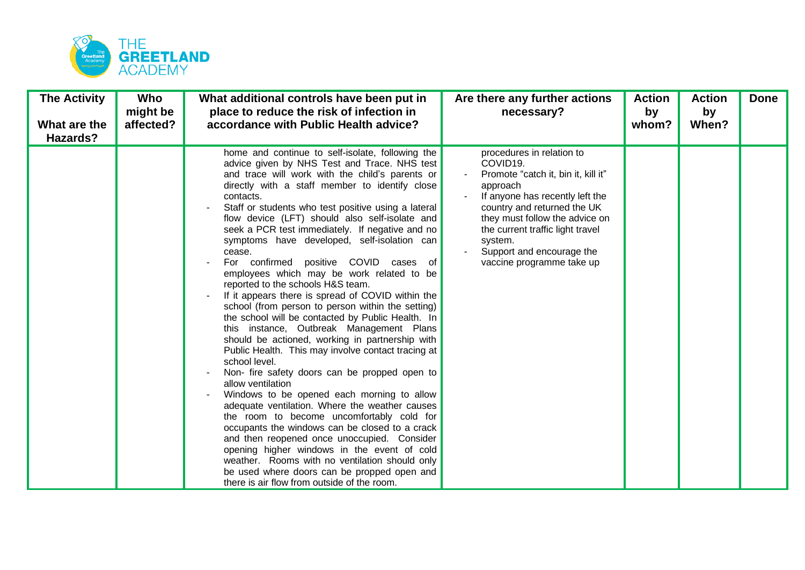

| <b>The Activity</b><br>What are the<br>Hazards? | Who<br>might be<br>affected? | What additional controls have been put in<br>place to reduce the risk of infection in<br>accordance with Public Health advice?                                                                                                                                                                                                                                                                                                                                                                                                                                                                                                                                                                                                                                                                                                                                                                                                                                                                                                                                                                                                                                                                                                                                                                                                                                                                                             | Are there any further actions<br>necessary?                                                                                                                                                                                                                                                           | <b>Action</b><br>by<br>whom? | <b>Action</b><br>by<br>When? | <b>Done</b> |
|-------------------------------------------------|------------------------------|----------------------------------------------------------------------------------------------------------------------------------------------------------------------------------------------------------------------------------------------------------------------------------------------------------------------------------------------------------------------------------------------------------------------------------------------------------------------------------------------------------------------------------------------------------------------------------------------------------------------------------------------------------------------------------------------------------------------------------------------------------------------------------------------------------------------------------------------------------------------------------------------------------------------------------------------------------------------------------------------------------------------------------------------------------------------------------------------------------------------------------------------------------------------------------------------------------------------------------------------------------------------------------------------------------------------------------------------------------------------------------------------------------------------------|-------------------------------------------------------------------------------------------------------------------------------------------------------------------------------------------------------------------------------------------------------------------------------------------------------|------------------------------|------------------------------|-------------|
|                                                 |                              | home and continue to self-isolate, following the<br>advice given by NHS Test and Trace. NHS test<br>and trace will work with the child's parents or<br>directly with a staff member to identify close<br>contacts.<br>Staff or students who test positive using a lateral<br>flow device (LFT) should also self-isolate and<br>seek a PCR test immediately. If negative and no<br>symptoms have developed, self-isolation can<br>cease.<br>For confirmed positive COVID cases of<br>employees which may be work related to be<br>reported to the schools H&S team.<br>If it appears there is spread of COVID within the<br>school (from person to person within the setting)<br>the school will be contacted by Public Health. In<br>this instance, Outbreak Management Plans<br>should be actioned, working in partnership with<br>Public Health. This may involve contact tracing at<br>school level.<br>Non- fire safety doors can be propped open to<br>allow ventilation<br>Windows to be opened each morning to allow<br>adequate ventilation. Where the weather causes<br>the room to become uncomfortably cold for<br>occupants the windows can be closed to a crack<br>and then reopened once unoccupied. Consider<br>opening higher windows in the event of cold<br>weather. Rooms with no ventilation should only<br>be used where doors can be propped open and<br>there is air flow from outside of the room. | procedures in relation to<br>COVID19.<br>Promote "catch it, bin it, kill it"<br>approach<br>If anyone has recently left the<br>country and returned the UK<br>they must follow the advice on<br>the current traffic light travel<br>system.<br>Support and encourage the<br>vaccine programme take up |                              |                              |             |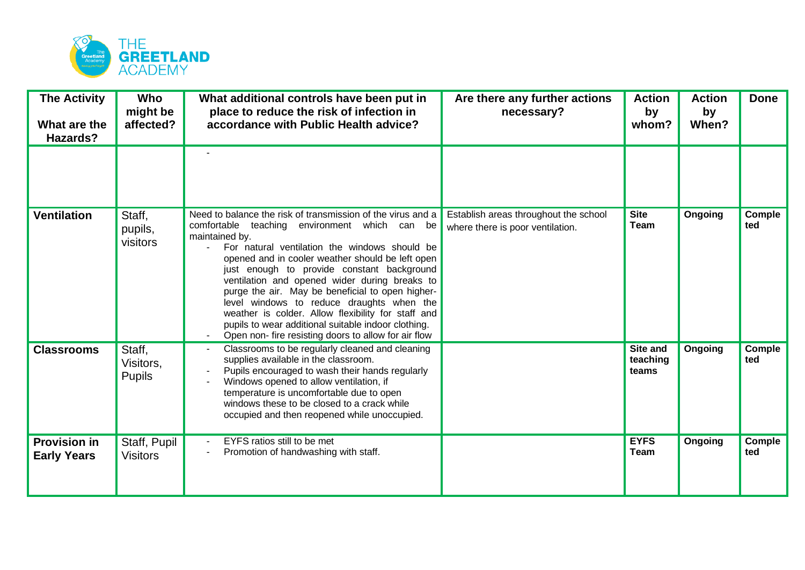

| <b>The Activity</b><br>What are the<br>Hazards? | Who<br>might be<br>affected?         | What additional controls have been put in<br>place to reduce the risk of infection in<br>accordance with Public Health advice?                                                                                                                                                                                                                                                                                                                                                                                                                                                                           | Are there any further actions<br>necessary?                               | <b>Action</b><br>by<br>whom?  | <b>Action</b><br>by<br>When? | <b>Done</b>   |
|-------------------------------------------------|--------------------------------------|----------------------------------------------------------------------------------------------------------------------------------------------------------------------------------------------------------------------------------------------------------------------------------------------------------------------------------------------------------------------------------------------------------------------------------------------------------------------------------------------------------------------------------------------------------------------------------------------------------|---------------------------------------------------------------------------|-------------------------------|------------------------------|---------------|
|                                                 |                                      |                                                                                                                                                                                                                                                                                                                                                                                                                                                                                                                                                                                                          |                                                                           |                               |                              |               |
| <b>Ventilation</b>                              | Staff,<br>pupils,<br>visitors        | Need to balance the risk of transmission of the virus and a<br>comfortable teaching environment which can be<br>maintained by.<br>For natural ventilation the windows should be<br>opened and in cooler weather should be left open<br>just enough to provide constant background<br>ventilation and opened wider during breaks to<br>purge the air. May be beneficial to open higher-<br>level windows to reduce draughts when the<br>weather is colder. Allow flexibility for staff and<br>pupils to wear additional suitable indoor clothing.<br>Open non- fire resisting doors to allow for air flow | Establish areas throughout the school<br>where there is poor ventilation. | <b>Site</b><br><b>Team</b>    | Ongoing                      | Comple<br>ted |
| <b>Classrooms</b>                               | Staff.<br>Visitors.<br><b>Pupils</b> | Classrooms to be regularly cleaned and cleaning<br>supplies available in the classroom.<br>Pupils encouraged to wash their hands regularly<br>Windows opened to allow ventilation, if<br>temperature is uncomfortable due to open<br>windows these to be closed to a crack while<br>occupied and then reopened while unoccupied.                                                                                                                                                                                                                                                                         |                                                                           | Site and<br>teaching<br>teams | Ongoing                      | Comple<br>ted |
| <b>Provision in</b><br><b>Early Years</b>       | Staff, Pupil<br><b>Visitors</b>      | EYFS ratios still to be met<br>Promotion of handwashing with staff.                                                                                                                                                                                                                                                                                                                                                                                                                                                                                                                                      |                                                                           | <b>EYFS</b><br><b>Team</b>    | Ongoing                      | Comple<br>ted |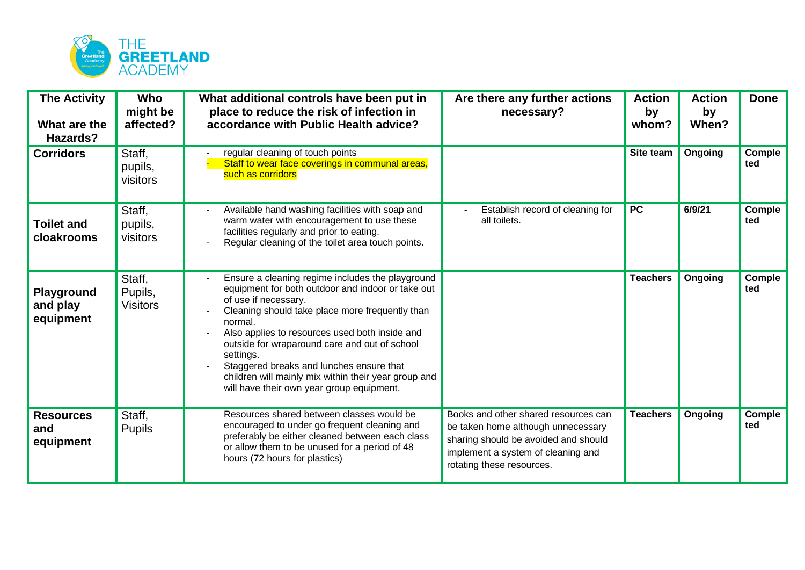

| <b>The Activity</b><br>What are the<br>Hazards? | Who<br>might be<br>affected?         | What additional controls have been put in<br>place to reduce the risk of infection in<br>accordance with Public Health advice?                                                                                                                                                                                                                                                                                                                               | Are there any further actions<br>necessary?                                                                                                                                           | <b>Action</b><br>by<br>whom? | <b>Action</b><br>by<br>When? | <b>Done</b>          |
|-------------------------------------------------|--------------------------------------|--------------------------------------------------------------------------------------------------------------------------------------------------------------------------------------------------------------------------------------------------------------------------------------------------------------------------------------------------------------------------------------------------------------------------------------------------------------|---------------------------------------------------------------------------------------------------------------------------------------------------------------------------------------|------------------------------|------------------------------|----------------------|
| <b>Corridors</b>                                | Staff,<br>pupils,<br>visitors        | regular cleaning of touch points<br>Staff to wear face coverings in communal areas,<br>such as corridors                                                                                                                                                                                                                                                                                                                                                     |                                                                                                                                                                                       | Site team                    | Ongoing                      | Comple<br>ted        |
| <b>Toilet and</b><br>cloakrooms                 | Staff,<br>pupils,<br>visitors        | Available hand washing facilities with soap and<br>warm water with encouragement to use these<br>facilities regularly and prior to eating.<br>Regular cleaning of the toilet area touch points.                                                                                                                                                                                                                                                              | Establish record of cleaning for<br>all toilets.                                                                                                                                      | <b>PC</b>                    | 6/9/21                       | <b>Comple</b><br>ted |
| Playground<br>and play<br>equipment             | Staff,<br>Pupils,<br><b>Visitors</b> | Ensure a cleaning regime includes the playground<br>equipment for both outdoor and indoor or take out<br>of use if necessary.<br>Cleaning should take place more frequently than<br>normal.<br>Also applies to resources used both inside and<br>outside for wraparound care and out of school<br>settings.<br>Staggered breaks and lunches ensure that<br>children will mainly mix within their year group and<br>will have their own year group equipment. |                                                                                                                                                                                       | <b>Teachers</b>              | Ongoing                      | Comple<br>ted        |
| <b>Resources</b><br>and<br>equipment            | Staff,<br><b>Pupils</b>              | Resources shared between classes would be<br>encouraged to under go frequent cleaning and<br>preferably be either cleaned between each class<br>or allow them to be unused for a period of 48<br>hours (72 hours for plastics)                                                                                                                                                                                                                               | Books and other shared resources can<br>be taken home although unnecessary<br>sharing should be avoided and should<br>implement a system of cleaning and<br>rotating these resources. | <b>Teachers</b>              | Ongoing                      | Comple<br>ted        |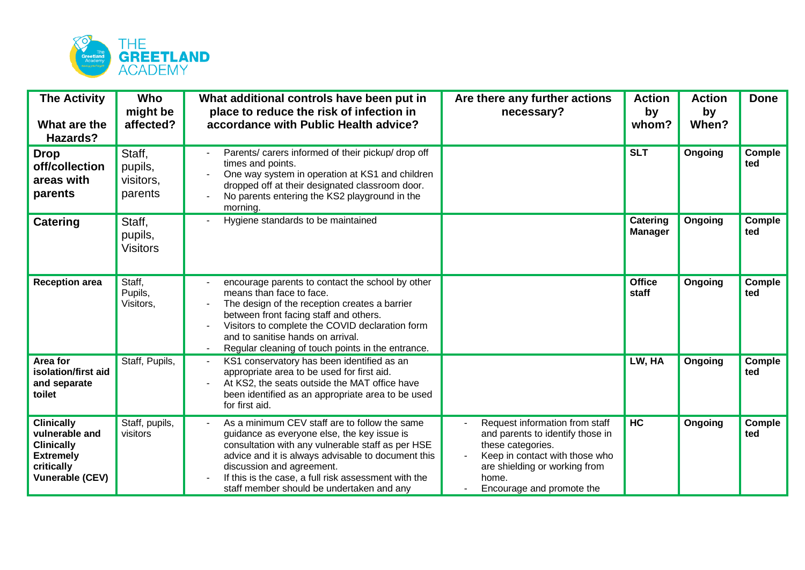

| <b>The Activity</b><br>What are the<br>Hazards?                                                                      | Who<br>might be<br>affected?              | What additional controls have been put in<br>place to reduce the risk of infection in<br>accordance with Public Health advice?                                                                                                                                                                                                            | Are there any further actions<br>necessary?                                                                                                                                                      | <b>Action</b><br>by<br>whom? | <b>Action</b><br>by<br>When? | <b>Done</b>   |
|----------------------------------------------------------------------------------------------------------------------|-------------------------------------------|-------------------------------------------------------------------------------------------------------------------------------------------------------------------------------------------------------------------------------------------------------------------------------------------------------------------------------------------|--------------------------------------------------------------------------------------------------------------------------------------------------------------------------------------------------|------------------------------|------------------------------|---------------|
| <b>Drop</b><br>off/collection<br>areas with<br>parents                                                               | Staff,<br>pupils,<br>visitors,<br>parents | Parents/ carers informed of their pickup/ drop off<br>times and points.<br>One way system in operation at KS1 and children<br>dropped off at their designated classroom door.<br>No parents entering the KS2 playground in the<br>morning.                                                                                                |                                                                                                                                                                                                  | <b>SLT</b>                   | Ongoing                      | Comple<br>ted |
| <b>Catering</b>                                                                                                      | Staff,<br>pupils,<br><b>Visitors</b>      | Hygiene standards to be maintained                                                                                                                                                                                                                                                                                                        |                                                                                                                                                                                                  | Catering<br><b>Manager</b>   | Ongoing                      | Comple<br>ted |
| <b>Reception area</b>                                                                                                | Staff,<br>Pupils,<br>Visitors,            | encourage parents to contact the school by other<br>means than face to face.<br>The design of the reception creates a barrier<br>between front facing staff and others.<br>Visitors to complete the COVID declaration form<br>and to sanitise hands on arrival.<br>Regular cleaning of touch points in the entrance.                      |                                                                                                                                                                                                  | <b>Office</b><br>staff       | Ongoing                      | Comple<br>ted |
| Area for<br>isolation/first aid<br>and separate<br>toilet                                                            | Staff, Pupils,                            | KS1 conservatory has been identified as an<br>appropriate area to be used for first aid.<br>At KS2, the seats outside the MAT office have<br>been identified as an appropriate area to be used<br>for first aid.                                                                                                                          |                                                                                                                                                                                                  | LW, HA                       | Ongoing                      | Comple<br>ted |
| <b>Clinically</b><br>vulnerable and<br><b>Clinically</b><br><b>Extremely</b><br>critically<br><b>Vunerable (CEV)</b> | Staff, pupils,<br>visitors                | As a minimum CEV staff are to follow the same<br>guidance as everyone else, the key issue is<br>consultation with any vulnerable staff as per HSE<br>advice and it is always advisable to document this<br>discussion and agreement.<br>If this is the case, a full risk assessment with the<br>staff member should be undertaken and any | Request information from staff<br>and parents to identify those in<br>these categories.<br>Keep in contact with those who<br>are shielding or working from<br>home.<br>Encourage and promote the | <b>HC</b>                    | Ongoing                      | Comple<br>ted |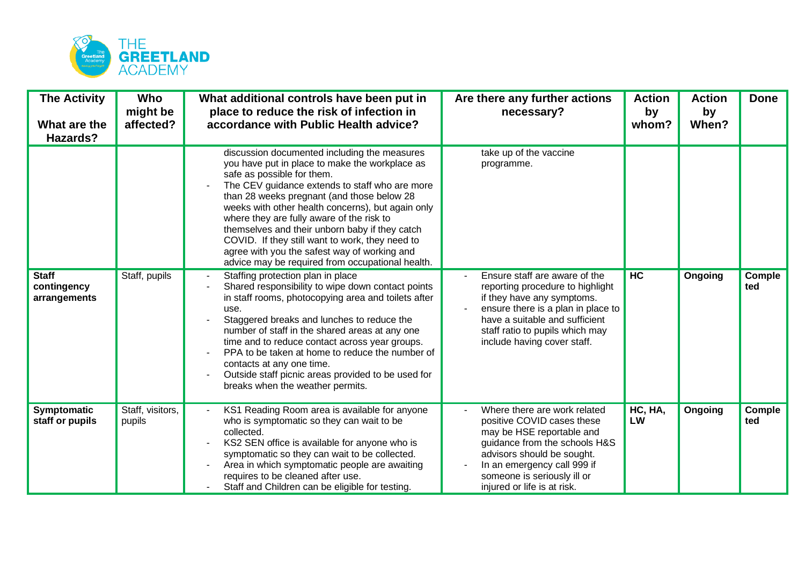

| <b>The Activity</b><br>What are the<br>Hazards? | Who<br>might be<br>affected? | What additional controls have been put in<br>place to reduce the risk of infection in<br>accordance with Public Health advice?                                                                                                                                                                                                                                                                                                                                                                                                          | Are there any further actions<br>necessary?                                                                                                                                                                                                         | <b>Action</b><br>by<br>whom? | <b>Action</b><br>by<br>When? | <b>Done</b>   |
|-------------------------------------------------|------------------------------|-----------------------------------------------------------------------------------------------------------------------------------------------------------------------------------------------------------------------------------------------------------------------------------------------------------------------------------------------------------------------------------------------------------------------------------------------------------------------------------------------------------------------------------------|-----------------------------------------------------------------------------------------------------------------------------------------------------------------------------------------------------------------------------------------------------|------------------------------|------------------------------|---------------|
|                                                 |                              | discussion documented including the measures<br>you have put in place to make the workplace as<br>safe as possible for them.<br>The CEV guidance extends to staff who are more<br>than 28 weeks pregnant (and those below 28<br>weeks with other health concerns), but again only<br>where they are fully aware of the risk to<br>themselves and their unborn baby if they catch<br>COVID. If they still want to work, they need to<br>agree with you the safest way of working and<br>advice may be required from occupational health. | take up of the vaccine<br>programme.                                                                                                                                                                                                                |                              |                              |               |
| <b>Staff</b><br>contingency<br>arrangements     | Staff, pupils                | Staffing protection plan in place<br>Shared responsibility to wipe down contact points<br>in staff rooms, photocopying area and toilets after<br>use.<br>Staggered breaks and lunches to reduce the<br>number of staff in the shared areas at any one<br>time and to reduce contact across year groups.<br>PPA to be taken at home to reduce the number of<br>contacts at any one time.<br>Outside staff picnic areas provided to be used for<br>breaks when the weather permits.                                                       | Ensure staff are aware of the<br>reporting procedure to highlight<br>if they have any symptoms.<br>ensure there is a plan in place to<br>have a suitable and sufficient<br>staff ratio to pupils which may<br>include having cover staff.           | <b>HC</b>                    | Ongoing                      | Comple<br>ted |
| <b>Symptomatic</b><br>staff or pupils           | Staff, visitors,<br>pupils   | KS1 Reading Room area is available for anyone<br>who is symptomatic so they can wait to be<br>collected.<br>KS2 SEN office is available for anyone who is<br>symptomatic so they can wait to be collected.<br>Area in which symptomatic people are awaiting<br>requires to be cleaned after use.<br>Staff and Children can be eligible for testing.                                                                                                                                                                                     | Where there are work related<br>positive COVID cases these<br>may be HSE reportable and<br>guidance from the schools H&S<br>advisors should be sought.<br>In an emergency call 999 if<br>someone is seriously ill or<br>injured or life is at risk. | HC, HA,<br>LW                | Ongoing                      | Comple<br>ted |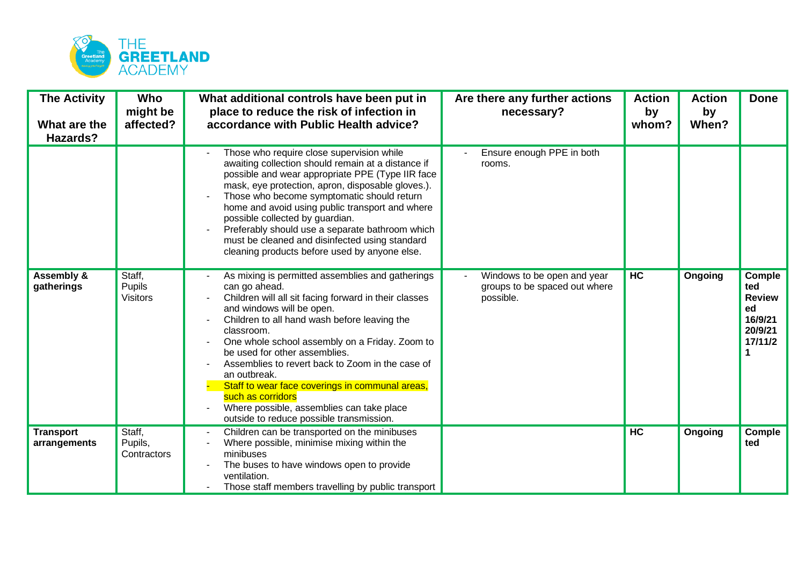

| <b>The Activity</b><br>What are the<br>Hazards? | Who<br>might be<br>affected?        | What additional controls have been put in<br>place to reduce the risk of infection in<br>accordance with Public Health advice?                                                                                                                                                                                                                                                                                                                                                                                                                | Are there any further actions<br>necessary?                               | <b>Action</b><br>by<br>whom? | <b>Action</b><br>by<br>When? | <b>Done</b>                                                                |
|-------------------------------------------------|-------------------------------------|-----------------------------------------------------------------------------------------------------------------------------------------------------------------------------------------------------------------------------------------------------------------------------------------------------------------------------------------------------------------------------------------------------------------------------------------------------------------------------------------------------------------------------------------------|---------------------------------------------------------------------------|------------------------------|------------------------------|----------------------------------------------------------------------------|
|                                                 |                                     | Those who require close supervision while<br>awaiting collection should remain at a distance if<br>possible and wear appropriate PPE (Type IIR face<br>mask, eye protection, apron, disposable gloves.).<br>Those who become symptomatic should return<br>home and avoid using public transport and where<br>possible collected by guardian.<br>Preferably should use a separate bathroom which<br>must be cleaned and disinfected using standard<br>cleaning products before used by anyone else.                                            | Ensure enough PPE in both<br>rooms.                                       |                              |                              |                                                                            |
| <b>Assembly &amp;</b><br>gatherings             | Staff.<br>Pupils<br><b>Visitors</b> | As mixing is permitted assemblies and gatherings<br>can go ahead.<br>Children will all sit facing forward in their classes<br>and windows will be open.<br>Children to all hand wash before leaving the<br>classroom.<br>One whole school assembly on a Friday. Zoom to<br>be used for other assemblies.<br>Assemblies to revert back to Zoom in the case of<br>an outbreak.<br>Staff to wear face coverings in communal areas,<br>such as corridors<br>Where possible, assemblies can take place<br>outside to reduce possible transmission. | Windows to be open and year<br>groups to be spaced out where<br>possible. | <b>HC</b>                    | Ongoing                      | Comple<br>ted<br><b>Review</b><br>ed<br>16/9/21<br>20/9/21<br>17/11/2<br>1 |
| <b>Transport</b><br>arrangements                | Staff,<br>Pupils,<br>Contractors    | Children can be transported on the minibuses<br>Where possible, minimise mixing within the<br>minibuses<br>The buses to have windows open to provide<br>ventilation.<br>Those staff members travelling by public transport                                                                                                                                                                                                                                                                                                                    |                                                                           | HC                           | Ongoing                      | Comple<br>ted                                                              |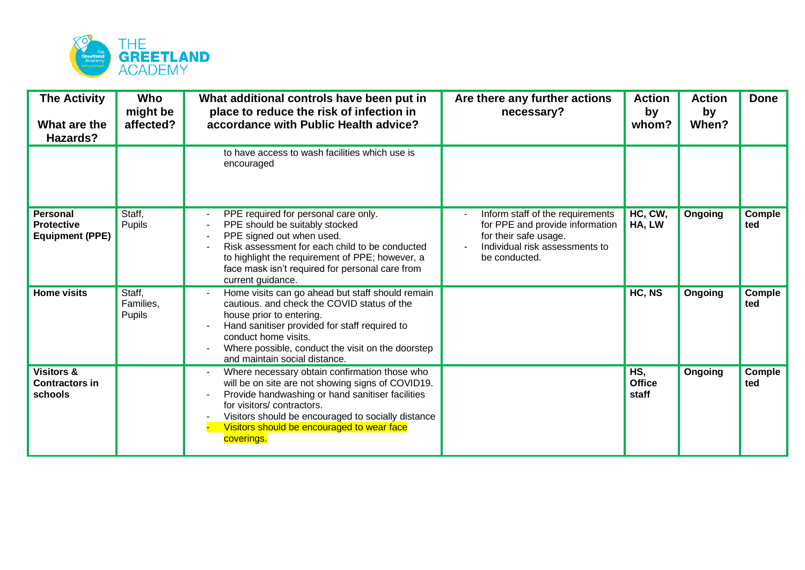

| <b>The Activity</b><br>What are the<br>Hazards?                | Who<br>might be<br>affected?  | What additional controls have been put in<br>place to reduce the risk of infection in<br>accordance with Public Health advice?                                                                                                                                                                        | Are there any further actions<br>necessary?                                                                                                     | <b>Action</b><br>by<br>whom?  | <b>Action</b><br>by<br>When? | <b>Done</b>          |
|----------------------------------------------------------------|-------------------------------|-------------------------------------------------------------------------------------------------------------------------------------------------------------------------------------------------------------------------------------------------------------------------------------------------------|-------------------------------------------------------------------------------------------------------------------------------------------------|-------------------------------|------------------------------|----------------------|
|                                                                |                               | to have access to wash facilities which use is<br>encouraged                                                                                                                                                                                                                                          |                                                                                                                                                 |                               |                              |                      |
| <b>Personal</b><br><b>Protective</b><br><b>Equipment (PPE)</b> | Staff,<br>Pupils              | PPE required for personal care only.<br>PPE should be suitably stocked<br>PPE signed out when used.<br>Risk assessment for each child to be conducted<br>to highlight the requirement of PPE; however, a<br>face mask isn't required for personal care from<br>current guidance.                      | Inform staff of the requirements<br>for PPE and provide information<br>for their safe usage.<br>Individual risk assessments to<br>be conducted. | HC, CW,<br>HA, LW             | Ongoing                      | <b>Comple</b><br>ted |
| <b>Home visits</b>                                             | Staff,<br>Families,<br>Pupils | Home visits can go ahead but staff should remain<br>cautious. and check the COVID status of the<br>house prior to entering.<br>Hand sanitiser provided for staff required to<br>conduct home visits.<br>Where possible, conduct the visit on the doorstep<br>and maintain social distance.            |                                                                                                                                                 | HC, NS                        | Ongoing                      | Comple<br>ted        |
| <b>Visitors &amp;</b><br><b>Contractors in</b><br>schools      |                               | Where necessary obtain confirmation those who<br>will be on site are not showing signs of COVID19.<br>Provide handwashing or hand sanitiser facilities<br>for visitors/contractors.<br>Visitors should be encouraged to socially distance<br>Visitors should be encouraged to wear face<br>coverings. |                                                                                                                                                 | HS,<br><b>Office</b><br>staff | Ongoing                      | Comple<br>ted        |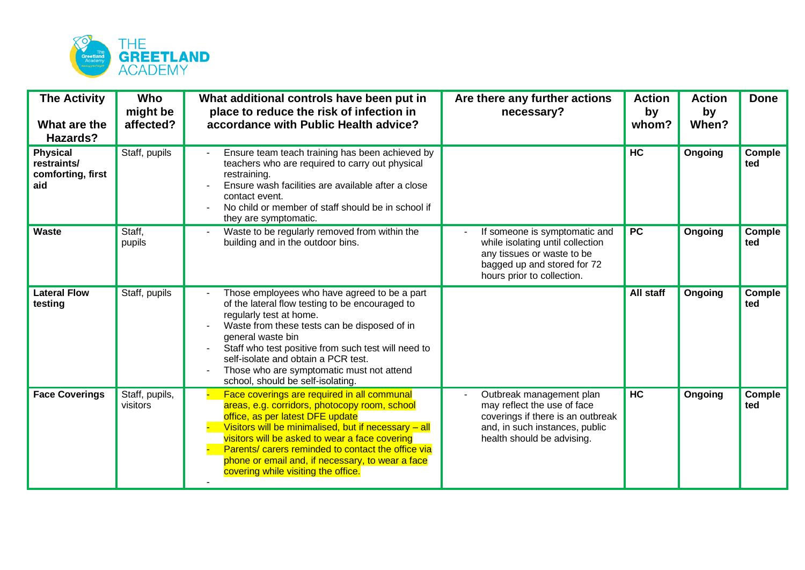

| <b>The Activity</b><br>What are the<br>Hazards?            | Who<br>might be<br>affected? | What additional controls have been put in<br>place to reduce the risk of infection in<br>accordance with Public Health advice?                                                                                                                                                                                                                                                              | Are there any further actions<br>necessary?                                                                                                                  | <b>Action</b><br>by<br>whom? | <b>Action</b><br>by<br>When? | <b>Done</b>          |
|------------------------------------------------------------|------------------------------|---------------------------------------------------------------------------------------------------------------------------------------------------------------------------------------------------------------------------------------------------------------------------------------------------------------------------------------------------------------------------------------------|--------------------------------------------------------------------------------------------------------------------------------------------------------------|------------------------------|------------------------------|----------------------|
| <b>Physical</b><br>restraints/<br>comforting, first<br>aid | Staff, pupils                | Ensure team teach training has been achieved by<br>teachers who are required to carry out physical<br>restraining.<br>Ensure wash facilities are available after a close<br>contact event.<br>No child or member of staff should be in school if<br>they are symptomatic.                                                                                                                   |                                                                                                                                                              | H <sub>C</sub>               | Ongoing                      | Comple<br>ted        |
| <b>Waste</b>                                               | Staff,<br>pupils             | Waste to be regularly removed from within the<br>building and in the outdoor bins.                                                                                                                                                                                                                                                                                                          | If someone is symptomatic and<br>while isolating until collection<br>any tissues or waste to be<br>bagged up and stored for 72<br>hours prior to collection. | <b>PC</b>                    | Ongoing                      | <b>Comple</b><br>ted |
| <b>Lateral Flow</b><br>testing                             | Staff, pupils                | Those employees who have agreed to be a part<br>of the lateral flow testing to be encouraged to<br>regularly test at home.<br>Waste from these tests can be disposed of in<br>general waste bin<br>Staff who test positive from such test will need to<br>self-isolate and obtain a PCR test.<br>Those who are symptomatic must not attend<br>school, should be self-isolating.             |                                                                                                                                                              | All staff                    | Ongoing                      | Comple<br>ted        |
| <b>Face Coverings</b>                                      | Staff, pupils,<br>visitors   | Face coverings are required in all communal<br>areas, e.g. corridors, photocopy room, school<br>office, as per latest DFE update<br>Visitors will be minimalised, but if necessary - all<br>visitors will be asked to wear a face covering<br>Parents/ carers reminded to contact the office via<br>phone or email and, if necessary, to wear a face<br>covering while visiting the office. | Outbreak management plan<br>may reflect the use of face<br>coverings if there is an outbreak<br>and, in such instances, public<br>health should be advising. | HC                           | Ongoing                      | Comple<br>ted        |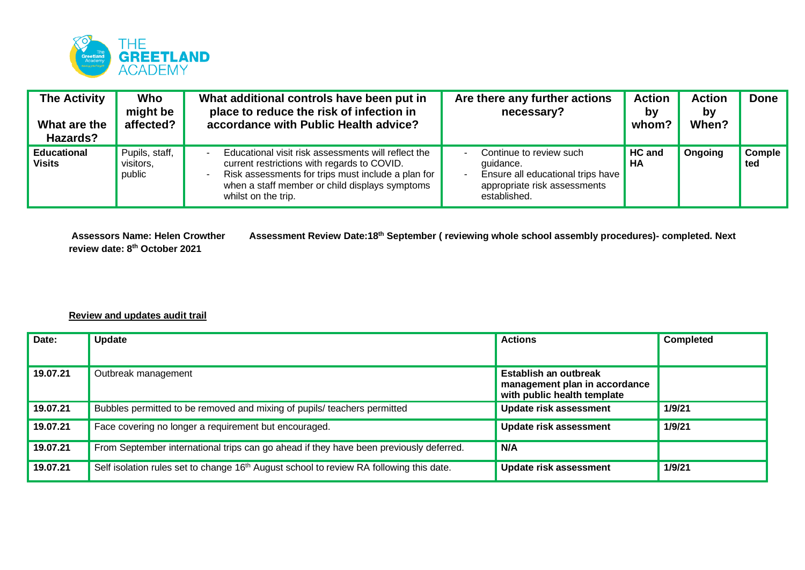

| <b>The Activity</b><br>What are the<br>Hazards? | Who<br>might be<br>affected?          | What additional controls have been put in<br>place to reduce the risk of infection in<br>accordance with Public Health advice?                                                                                                    | Are there any further actions<br>necessary?                                                                               | <b>Action</b><br>by<br>whom? | <b>Action</b><br>b٧<br>When? | <b>Done</b>   |
|-------------------------------------------------|---------------------------------------|-----------------------------------------------------------------------------------------------------------------------------------------------------------------------------------------------------------------------------------|---------------------------------------------------------------------------------------------------------------------------|------------------------------|------------------------------|---------------|
| <b>Educational</b><br><b>Visits</b>             | Pupils, staff,<br>visitors,<br>public | Educational visit risk assessments will reflect the<br>current restrictions with regards to COVID.<br>Risk assessments for trips must include a plan for<br>when a staff member or child displays symptoms<br>whilst on the trip. | Continue to review such<br>quidance.<br>Ensure all educational trips have<br>appropriate risk assessments<br>established. | <b>HC and</b><br>HA          | Ongoing                      | Comple<br>ted |

**review date: 8th October 2021**

**Assessors Name: Helen Crowther Assessment Review Date:18th September ( reviewing whole school assembly procedures)- completed. Next** 

## **Review and updates audit trail**

| Date:    | <b>Update</b>                                                                                       | <b>Actions</b>                                                                        | <b>Completed</b> |
|----------|-----------------------------------------------------------------------------------------------------|---------------------------------------------------------------------------------------|------------------|
| 19.07.21 | Outbreak management                                                                                 | Establish an outbreak<br>management plan in accordance<br>with public health template |                  |
| 19.07.21 | Bubbles permitted to be removed and mixing of pupils/ teachers permitted                            | <b>Update risk assessment</b>                                                         | 1/9/21           |
| 19.07.21 | Face covering no longer a requirement but encouraged.                                               | <b>Update risk assessment</b>                                                         | 1/9/21           |
| 19.07.21 | From September international trips can go ahead if they have been previously deferred.              | N/A                                                                                   |                  |
| 19.07.21 | Self isolation rules set to change 16 <sup>th</sup> August school to review RA following this date. | <b>Update risk assessment</b>                                                         | 1/9/21           |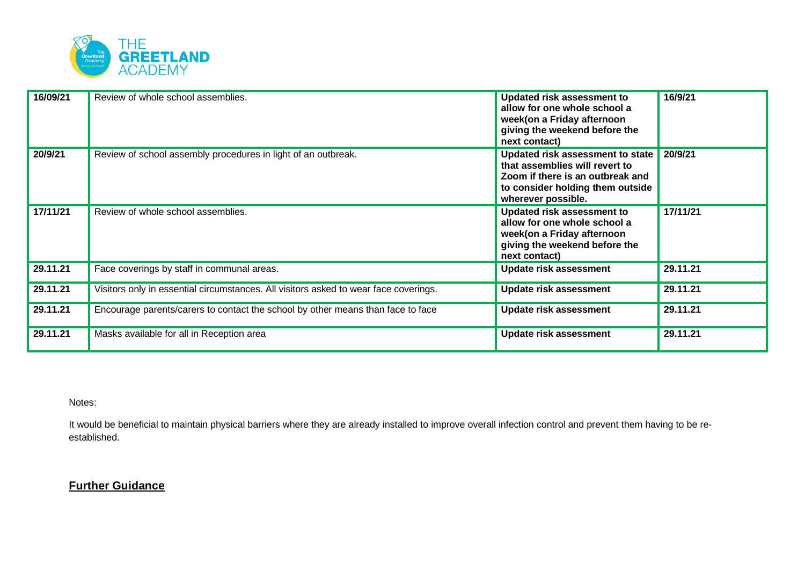

| 16/09/21 | Review of whole school assemblies.                                                   | <b>Updated risk assessment to</b><br>allow for one whole school a<br>week(on a Friday afternoon<br>giving the weekend before the<br>next contact)                | 16/9/21  |
|----------|--------------------------------------------------------------------------------------|------------------------------------------------------------------------------------------------------------------------------------------------------------------|----------|
| 20/9/21  | Review of school assembly procedures in light of an outbreak.                        | Updated risk assessment to state<br>that assemblies will revert to<br>Zoom if there is an outbreak and<br>to consider holding them outside<br>wherever possible. | 20/9/21  |
| 17/11/21 | Review of whole school assemblies.                                                   | <b>Updated risk assessment to</b><br>allow for one whole school a<br>week(on a Friday afternoon<br>giving the weekend before the<br>next contact)                | 17/11/21 |
| 29.11.21 | Face coverings by staff in communal areas.                                           | <b>Update risk assessment</b>                                                                                                                                    | 29.11.21 |
| 29.11.21 | Visitors only in essential circumstances. All visitors asked to wear face coverings. | <b>Update risk assessment</b>                                                                                                                                    | 29.11.21 |
| 29.11.21 | Encourage parents/carers to contact the school by other means than face to face      | <b>Update risk assessment</b>                                                                                                                                    | 29.11.21 |
| 29.11.21 | Masks available for all in Reception area                                            | <b>Update risk assessment</b>                                                                                                                                    | 29.11.21 |

Notes:

It would be beneficial to maintain physical barriers where they are already installed to improve overall infection control and prevent them having to be reestablished.

## **Further Guidance**